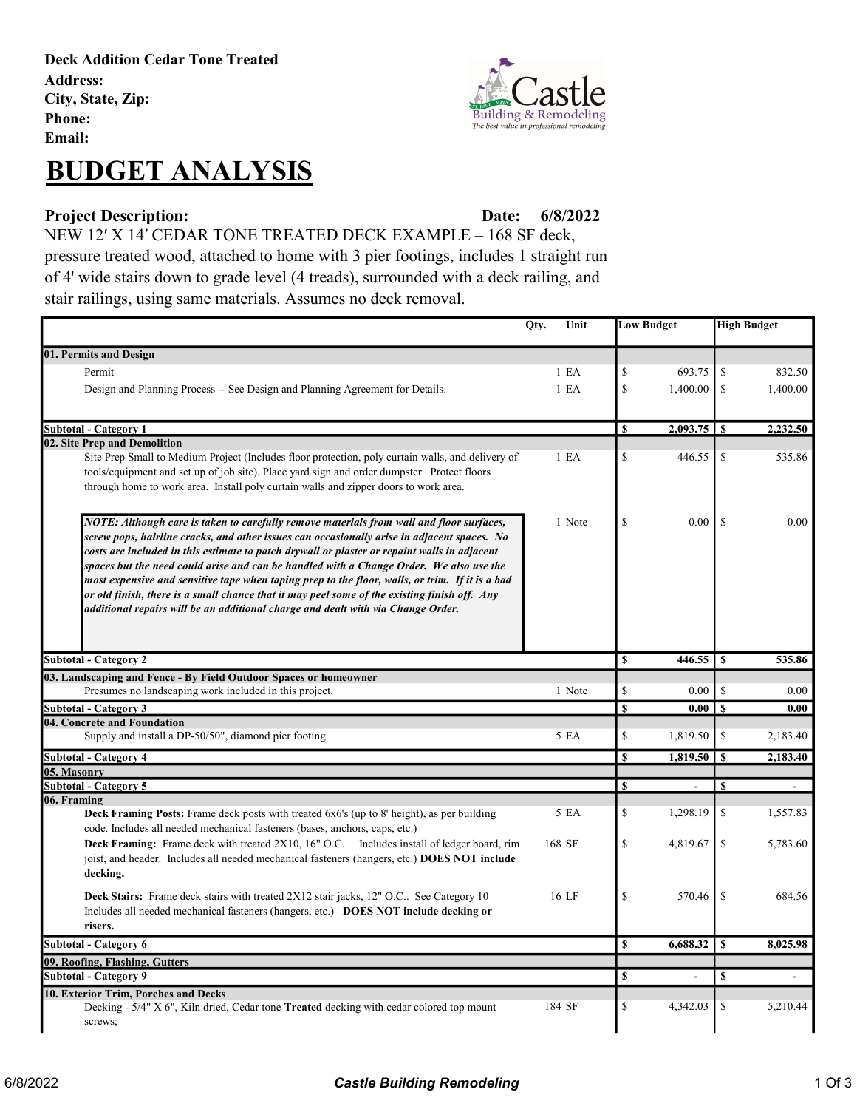Deck Addition Cedar Tone Treated Address: City, State, Zip: Phone: Email:



# BUDGET ANALYSIS

### Project Description: Date: Date:

6/8/2022

NEW 12′ X 14′ CEDAR TONE TREATED DECK EXAMPLE – 168 SF deck, pressure treated wood, attached to home with 3 pier footings, includes 1 straight run of 4' wide stairs down to grade level (4 treads), surrounded with a deck railing, and stair railings, using same materials. Assumes no deck removal.

|                                                                                                                                                                                                                                                                                                                                                                                                                                                                                                                                                                                                                                                                           |  | Unit             | <b>Low Budget</b>       |                          | <b>High Budget</b> |                          |
|---------------------------------------------------------------------------------------------------------------------------------------------------------------------------------------------------------------------------------------------------------------------------------------------------------------------------------------------------------------------------------------------------------------------------------------------------------------------------------------------------------------------------------------------------------------------------------------------------------------------------------------------------------------------------|--|------------------|-------------------------|--------------------------|--------------------|--------------------------|
| 01. Permits and Design                                                                                                                                                                                                                                                                                                                                                                                                                                                                                                                                                                                                                                                    |  |                  |                         |                          |                    |                          |
| Permit                                                                                                                                                                                                                                                                                                                                                                                                                                                                                                                                                                                                                                                                    |  | 1 E <sub>A</sub> | \$                      | 693.75                   | \$                 | 832.50                   |
| Design and Planning Process -- See Design and Planning Agreement for Details.                                                                                                                                                                                                                                                                                                                                                                                                                                                                                                                                                                                             |  | 1 E A            | \$                      | 1,400.00                 | \$                 | 1,400.00                 |
|                                                                                                                                                                                                                                                                                                                                                                                                                                                                                                                                                                                                                                                                           |  |                  |                         |                          |                    |                          |
| Subtotal - Category 1                                                                                                                                                                                                                                                                                                                                                                                                                                                                                                                                                                                                                                                     |  |                  | S                       |                          |                    | 2,232.50                 |
| 02. Site Prep and Demolition                                                                                                                                                                                                                                                                                                                                                                                                                                                                                                                                                                                                                                              |  |                  |                         |                          |                    |                          |
| Site Prep Small to Medium Project (Includes floor protection, poly curtain walls, and delivery of<br>tools/equipment and set up of job site). Place yard sign and order dumpster. Protect floors<br>through home to work area. Install poly curtain walls and zipper doors to work area.                                                                                                                                                                                                                                                                                                                                                                                  |  | 1 E <sub>A</sub> | $\mathbb S$             | 446.55                   | \$                 | 535.86                   |
| NOTE: Although care is taken to carefully remove materials from wall and floor surfaces,<br>screw pops, hairline cracks, and other issues can occasionally arise in adjacent spaces. No<br>costs are included in this estimate to patch drywall or plaster or repaint walls in adjacent<br>spaces but the need could arise and can be handled with a Change Order. We also use the<br>most expensive and sensitive tape when taping prep to the floor, walls, or trim. If it is a bad<br>or old finish, there is a small chance that it may peel some of the existing finish off. Any<br>additional repairs will be an additional charge and dealt with via Change Order. |  | 1 Note           | \$                      | 0.00                     | <sup>\$</sup>      | 0.00                     |
| <b>Subtotal - Category 2</b>                                                                                                                                                                                                                                                                                                                                                                                                                                                                                                                                                                                                                                              |  |                  | $\mathbb S$             | 446.55                   | \$                 | 535.86                   |
| 03. Landscaping and Fence - By Field Outdoor Spaces or homeowner                                                                                                                                                                                                                                                                                                                                                                                                                                                                                                                                                                                                          |  |                  |                         |                          |                    |                          |
| Presumes no landscaping work included in this project.                                                                                                                                                                                                                                                                                                                                                                                                                                                                                                                                                                                                                    |  | 1 Note           | \$                      | 0.00                     | \$                 | 0.00                     |
| <b>Subtotal - Category 3</b>                                                                                                                                                                                                                                                                                                                                                                                                                                                                                                                                                                                                                                              |  |                  | $\mathbf{s}$            | 0.00                     | $\mathbf{s}$       | 0.00                     |
| 04. Concrete and Foundation<br>Supply and install a DP-50/50", diamond pier footing                                                                                                                                                                                                                                                                                                                                                                                                                                                                                                                                                                                       |  | 5 EA             | \$                      | 1,819.50                 | \$                 | 2,183.40                 |
| <b>Subtotal - Category 4</b>                                                                                                                                                                                                                                                                                                                                                                                                                                                                                                                                                                                                                                              |  |                  | <b>S</b>                | 1,819.50                 | <sup>S</sup>       | 2,183.40                 |
| 05. Masonry                                                                                                                                                                                                                                                                                                                                                                                                                                                                                                                                                                                                                                                               |  |                  |                         |                          |                    |                          |
| <b>Subtotal - Category 5</b>                                                                                                                                                                                                                                                                                                                                                                                                                                                                                                                                                                                                                                              |  |                  | S                       | $\overline{\phantom{a}}$ | S                  | $\blacksquare$           |
| 06. Framing<br><b>Deck Framing Posts:</b> Frame deck posts with treated 6x6's (up to 8' height), as per building<br>code. Includes all needed mechanical fasteners (bases, anchors, caps, etc.)                                                                                                                                                                                                                                                                                                                                                                                                                                                                           |  | 5 EA             | \$                      | 1,298.19                 | \$                 | 1,557.83                 |
| Deck Framing: Frame deck with treated 2X10, 16" O.C Includes install of ledger board, rim<br>joist, and header. Includes all needed mechanical fasteners (hangers, etc.) DOES NOT include<br>decking.                                                                                                                                                                                                                                                                                                                                                                                                                                                                     |  | 168 SF           | S                       | 4,819.67                 | \$                 | 5,783.60                 |
| <b>Deck Stairs:</b> Frame deck stairs with treated 2X12 stair jacks, 12" O.C See Category 10<br>Includes all needed mechanical fasteners (hangers, etc.) DOES NOT include decking or<br>risers.                                                                                                                                                                                                                                                                                                                                                                                                                                                                           |  | 16 LF            | S                       | 570.46                   | <sup>\$</sup>      | 684.56                   |
| <b>Subtotal - Category 6</b>                                                                                                                                                                                                                                                                                                                                                                                                                                                                                                                                                                                                                                              |  |                  | $\overline{\mathbf{s}}$ | 6,688.32                 | $\mathbf S$        | 8.025.98                 |
| 09. Roofing, Flashing, Gutters                                                                                                                                                                                                                                                                                                                                                                                                                                                                                                                                                                                                                                            |  |                  |                         |                          |                    |                          |
| <b>Subtotal - Category 9</b>                                                                                                                                                                                                                                                                                                                                                                                                                                                                                                                                                                                                                                              |  |                  | \$                      | $\blacksquare$           | \$                 | $\overline{\phantom{a}}$ |
| 10. Exterior Trim, Porches and Decks<br>Decking - 5/4" X 6", Kiln dried, Cedar tone Treated decking with cedar colored top mount<br>screws;                                                                                                                                                                                                                                                                                                                                                                                                                                                                                                                               |  | 184 SF           | \$                      | 4,342.03                 | \$                 | 5,210.44                 |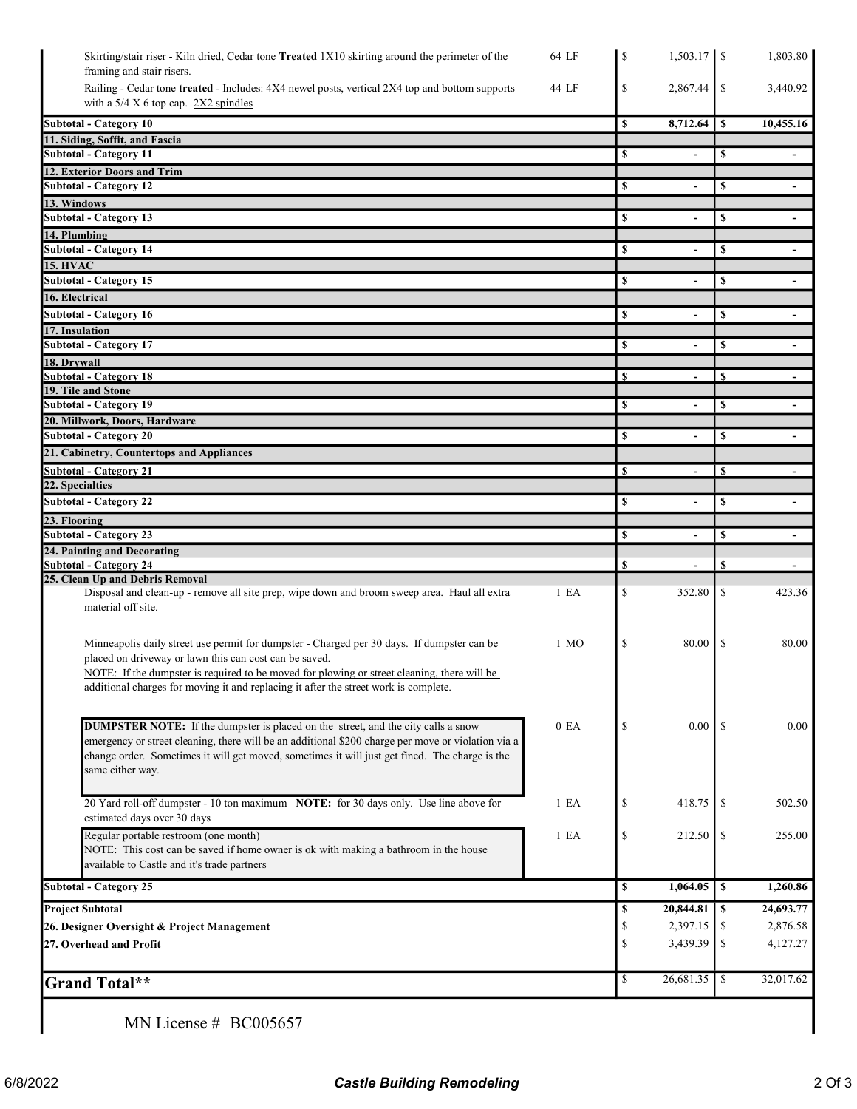| Skirting/stair riser - Kiln dried, Cedar tone Treated 1X10 skirting around the perimeter of the<br>64 LF                                                                                                                                                                                                                                                      | \$       |                          |               | 1,803.80                 |
|---------------------------------------------------------------------------------------------------------------------------------------------------------------------------------------------------------------------------------------------------------------------------------------------------------------------------------------------------------------|----------|--------------------------|---------------|--------------------------|
| framing and stair risers.                                                                                                                                                                                                                                                                                                                                     |          |                          |               |                          |
| Railing - Cedar tone treated - Includes: 4X4 newel posts, vertical 2X4 top and bottom supports<br>44 LF<br>with a $5/4$ X 6 top cap. 2X2 spindles                                                                                                                                                                                                             | \$       | 2,867.44                 | \$            | 3,440.92                 |
| <b>Subtotal - Category 10</b>                                                                                                                                                                                                                                                                                                                                 | \$       | 8,712.64                 | $\mathbf{s}$  | 10,455.16                |
| 11. Siding, Soffit, and Fascia                                                                                                                                                                                                                                                                                                                                |          |                          |               |                          |
| <b>Subtotal - Category 11</b>                                                                                                                                                                                                                                                                                                                                 | S        |                          | \$            |                          |
| 12. Exterior Doors and Trim                                                                                                                                                                                                                                                                                                                                   |          |                          |               |                          |
| <b>Subtotal - Category 12</b>                                                                                                                                                                                                                                                                                                                                 | \$       | $\blacksquare$           | \$            | $\overline{\phantom{a}}$ |
| 13. Windows                                                                                                                                                                                                                                                                                                                                                   |          |                          |               |                          |
| Subtotal - Category 13                                                                                                                                                                                                                                                                                                                                        | \$       | $\blacksquare$           | \$            | $\blacksquare$           |
| 14. Plumbing<br><b>Subtotal - Category 14</b>                                                                                                                                                                                                                                                                                                                 | \$       |                          | \$            |                          |
| <b>15. HVAC</b>                                                                                                                                                                                                                                                                                                                                               |          |                          |               |                          |
| <b>Subtotal - Category 15</b>                                                                                                                                                                                                                                                                                                                                 | \$       |                          | S             |                          |
| 16. Electrical                                                                                                                                                                                                                                                                                                                                                |          |                          |               |                          |
| <b>Subtotal - Category 16</b>                                                                                                                                                                                                                                                                                                                                 | \$       |                          | \$            |                          |
| 17. Insulation                                                                                                                                                                                                                                                                                                                                                |          |                          |               |                          |
| <b>Subtotal - Category 17</b>                                                                                                                                                                                                                                                                                                                                 | \$       | $\blacksquare$           | \$            | $\sim$                   |
| 18. Drvwall                                                                                                                                                                                                                                                                                                                                                   |          |                          |               |                          |
| <b>Subtotal - Category 18</b><br>19. Tile and Stone                                                                                                                                                                                                                                                                                                           | <b>S</b> |                          | S             |                          |
| <b>Subtotal - Category 19</b>                                                                                                                                                                                                                                                                                                                                 | <b>S</b> | $\overline{a}$           | \$            |                          |
| 20. Millwork, Doors, Hardware                                                                                                                                                                                                                                                                                                                                 |          |                          |               |                          |
| <b>Subtotal - Category 20</b>                                                                                                                                                                                                                                                                                                                                 | \$       | $\overline{a}$           | \$            | $\overline{\phantom{a}}$ |
| 21. Cabinetry, Countertops and Appliances                                                                                                                                                                                                                                                                                                                     |          |                          |               |                          |
| <b>Subtotal - Category 21</b>                                                                                                                                                                                                                                                                                                                                 | <b>S</b> | $\overline{\phantom{a}}$ | \$            | $\overline{\phantom{a}}$ |
| 22. Specialties                                                                                                                                                                                                                                                                                                                                               |          |                          |               |                          |
| <b>Subtotal - Category 22</b>                                                                                                                                                                                                                                                                                                                                 | \$       | $\blacksquare$           | \$            | $\blacksquare$           |
| 23. Flooring<br><b>Subtotal - Category 23</b>                                                                                                                                                                                                                                                                                                                 | \$       |                          |               |                          |
| 24. Painting and Decorating                                                                                                                                                                                                                                                                                                                                   |          | $\overline{\phantom{a}}$ | \$            | $\blacksquare$           |
| Subtotal - Category 24                                                                                                                                                                                                                                                                                                                                        | \$       |                          | \$            |                          |
| 25. Clean Up and Debris Removal                                                                                                                                                                                                                                                                                                                               |          |                          |               |                          |
| Disposal and clean-up - remove all site prep, wipe down and broom sweep area. Haul all extra<br>1 E A<br>material off site.                                                                                                                                                                                                                                   | \$       | 352.80                   | <sup>\$</sup> | 423.36                   |
| Minneapolis daily street use permit for dumpster - Charged per 30 days. If dumpster can be<br>$1 \text{ MO}$<br>placed on driveway or lawn this can cost can be saved.<br>NOTE: If the dumpster is required to be moved for plowing or street cleaning, there will be<br>additional charges for moving it and replacing it after the street work is complete. | \$       | 80.00                    | <sup>\$</sup> | 80.00                    |
| <b>DUMPSTER NOTE:</b> If the dumpster is placed on the street, and the city calls a snow<br>0 E <sub>A</sub><br>emergency or street cleaning, there will be an additional \$200 charge per move or violation via a<br>change order. Sometimes it will get moved, sometimes it will just get fined. The charge is the<br>same either way.                      | \$       | 0.00                     | -S            | 0.00                     |
| 20 Yard roll-off dumpster - 10 ton maximum NOTE: for 30 days only. Use line above for<br>1 E <sub>A</sub><br>estimated days over 30 days                                                                                                                                                                                                                      | \$       | 418.75                   | -S            | 502.50                   |
| Regular portable restroom (one month)<br>1 E A<br>NOTE: This cost can be saved if home owner is ok with making a bathroom in the house<br>available to Castle and it's trade partners                                                                                                                                                                         | \$       | 212.50                   | \$            | 255.00                   |
| <b>Subtotal - Category 25</b>                                                                                                                                                                                                                                                                                                                                 | \$       | 1,064.05                 | <sup>\$</sup> | 1,260.86                 |
| <b>Project Subtotal</b>                                                                                                                                                                                                                                                                                                                                       | \$       | 20,844.81                | <sup>\$</sup> | 24,693.77                |
| 26. Designer Oversight & Project Management                                                                                                                                                                                                                                                                                                                   | \$       | 2,397.15                 | \$            | 2,876.58                 |
| 27. Overhead and Profit                                                                                                                                                                                                                                                                                                                                       | \$       | 3,439.39                 | \$            | 4,127.27                 |
| <b>Grand Total**</b>                                                                                                                                                                                                                                                                                                                                          | \$       | 26,681.35                | -S            | 32,017.62                |
| MN License # BC005657                                                                                                                                                                                                                                                                                                                                         |          |                          |               |                          |

 $\mathsf{l}$